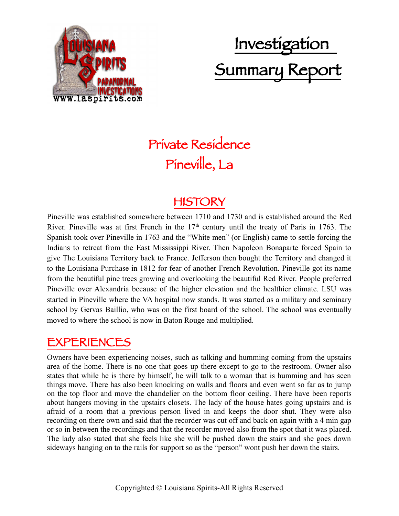

# Investigation Summary Report

### Private Residence Pineville, La

### **HISTORY**

Pineville was established somewhere between 1710 and 1730 and is established around the Red River. Pineville was at first French in the  $17<sup>th</sup>$  century until the treaty of Paris in 1763. The Spanish took over Pineville in 1763 and the "White men" (or English) came to settle forcing the Indians to retreat from the East Mississippi River. Then Napoleon Bonaparte forced Spain to give The Louisiana Territory back to France. Jefferson then bought the Territory and changed it to the Louisiana Purchase in 1812 for fear of another French Revolution. Pineville got its name from the beautiful pine trees growing and overlooking the beautiful Red River. People preferred Pineville over Alexandria because of the higher elevation and the healthier climate. LSU was started in Pineville where the VA hospital now stands. It was started as a military and seminary school by Gervas Baillio, who was on the first board of the school. The school was eventually moved to where the school is now in Baton Rouge and multiplied.

#### EXPERIENCES

Owners have been experiencing noises, such as talking and humming coming from the upstairs area of the home. There is no one that goes up there except to go to the restroom. Owner also states that while he is there by himself, he will talk to a woman that is humming and has seen things move. There has also been knocking on walls and floors and even went so far as to jump on the top floor and move the chandelier on the bottom floor ceiling. There have been reports about hangers moving in the upstairs closets. The lady of the house hates going upstairs and is afraid of a room that a previous person lived in and keeps the door shut. They were also recording on there own and said that the recorder was cut off and back on again with a 4 min gap or so in between the recordings and that the recorder moved also from the spot that it was placed. The lady also stated that she feels like she will be pushed down the stairs and she goes down sideways hanging on to the rails for support so as the "person" wont push her down the stairs.